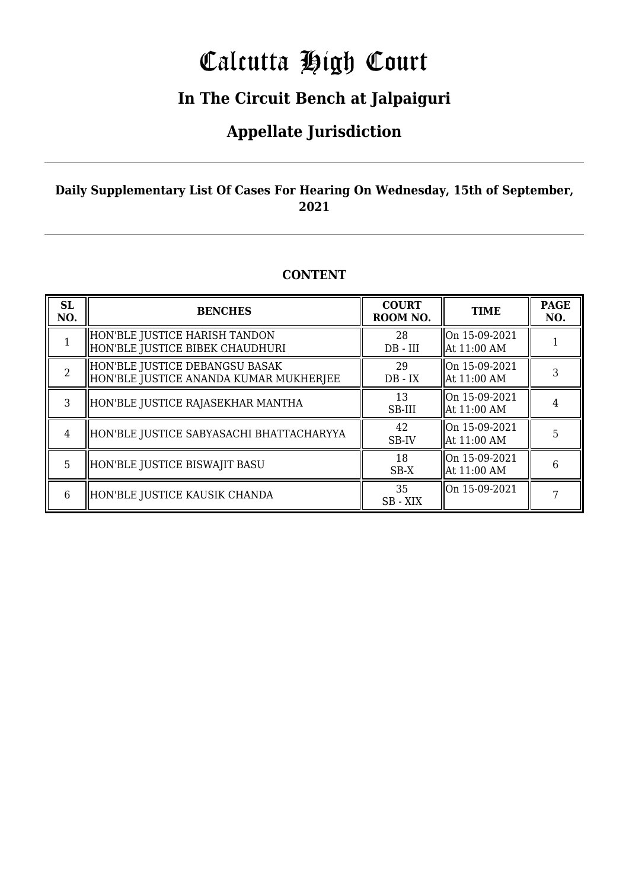# Calcutta High Court

### **In The Circuit Bench at Jalpaiguri**

### **Appellate Jurisdiction**

#### **Daily Supplementary List Of Cases For Hearing On Wednesday, 15th of September, 2021**

#### **CONTENT**

| <b>SL</b><br>NO. | <b>BENCHES</b>                                                           | <b>COURT</b><br>ROOM NO. | <b>TIME</b>                  | <b>PAGE</b><br>NO. |
|------------------|--------------------------------------------------------------------------|--------------------------|------------------------------|--------------------|
|                  | HON'BLE JUSTICE HARISH TANDON<br>HON'BLE JUSTICE BIBEK CHAUDHURI         | 28<br>$DB - III$         | On 15-09-2021<br>At 11:00 AM |                    |
|                  | HON'BLE JUSTICE DEBANGSU BASAK<br>HON'BLE JUSTICE ANANDA KUMAR MUKHERJEE | 29<br>$DB - IX$          | On 15-09-2021<br>At 11:00 AM |                    |
| 3                | HON'BLE JUSTICE RAJASEKHAR MANTHA                                        | 13<br>SB-III             | On 15-09-2021<br>At 11:00 AM |                    |
| 4                | HON'BLE JUSTICE SABYASACHI BHATTACHARYYA                                 | 42<br>SB-IV              | On 15-09-2021<br>At 11:00 AM | 5                  |
| 5                | HON'BLE JUSTICE BISWAJIT BASU                                            | 18<br>$SB-X$             | On 15-09-2021<br>At 11:00 AM | 6                  |
| 6                | HON'BLE JUSTICE KAUSIK CHANDA                                            | 35<br>SB-XIX             | On 15-09-2021                |                    |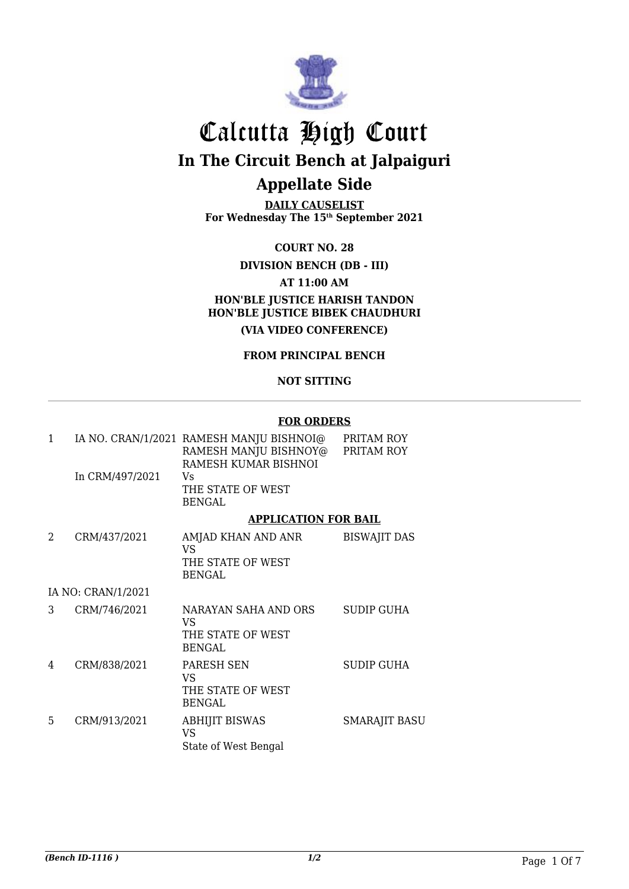

**DAILY CAUSELIST For Wednesday The 15th September 2021**

**COURT NO. 28**

**DIVISION BENCH (DB - III)**

**AT 11:00 AM**

**HON'BLE JUSTICE HARISH TANDON HON'BLE JUSTICE BIBEK CHAUDHURI (VIA VIDEO CONFERENCE)**

#### **FROM PRINCIPAL BENCH**

#### **NOT SITTING**

#### **FOR ORDERS**

| $\mathbf{1}$ |                    | IA NO. CRAN/1/2021 RAMESH MANJU BISHNOI@<br>RAMESH MANJU BISHNOY@ PRITAM ROY<br>RAMESH KUMAR BISHNOI | PRITAM ROY           |
|--------------|--------------------|------------------------------------------------------------------------------------------------------|----------------------|
|              | In CRM/497/2021    | Vs.<br>THE STATE OF WEST<br><b>BENGAL</b>                                                            |                      |
|              |                    | <b>APPLICATION FOR BAIL</b>                                                                          |                      |
| 2            | CRM/437/2021       | AMJAD KHAN AND ANR<br>VS.<br>THE STATE OF WEST<br><b>BENGAL</b>                                      | <b>BISWAJIT DAS</b>  |
|              | IA NO: CRAN/1/2021 |                                                                                                      |                      |
| 3            | CRM/746/2021       | NARAYAN SAHA AND ORS<br>VS<br>THE STATE OF WEST<br><b>BENGAL</b>                                     | SUDIP GUHA           |
| 4            | CRM/838/2021       | PARESH SEN<br>VS<br>THE STATE OF WEST<br><b>BENGAL</b>                                               | <b>SUDIP GUHA</b>    |
| 5            | CRM/913/2021       | <b>ABHIJIT BISWAS</b><br>VS.<br>State of West Bengal                                                 | <b>SMARAJIT BASU</b> |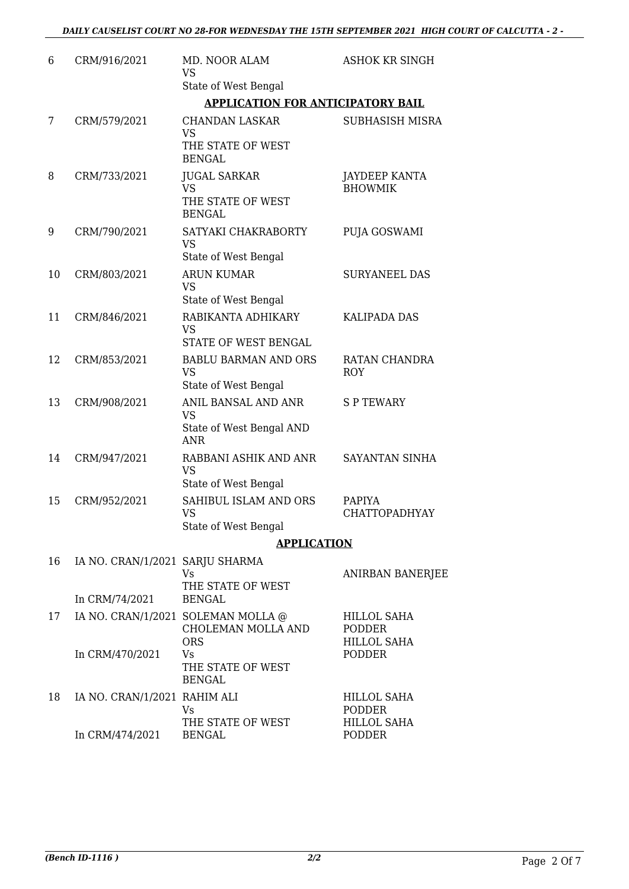| 6  | CRM/916/2021                                      | MD. NOOR ALAM<br>VS                                                                      | <b>ASHOK KR SINGH</b>                       |
|----|---------------------------------------------------|------------------------------------------------------------------------------------------|---------------------------------------------|
|    |                                                   | State of West Bengal                                                                     |                                             |
|    |                                                   | <b>APPLICATION FOR ANTICIPATORY BAIL</b>                                                 |                                             |
| 7  | CRM/579/2021                                      | <b>CHANDAN LASKAR</b><br><b>VS</b><br>THE STATE OF WEST<br><b>BENGAL</b>                 | SUBHASISH MISRA                             |
| 8  | CRM/733/2021                                      | <b>JUGAL SARKAR</b><br><b>VS</b><br>THE STATE OF WEST                                    | JAYDEEP KANTA<br><b>BHOWMIK</b>             |
| 9  | CRM/790/2021                                      | <b>BENGAL</b><br>SATYAKI CHAKRABORTY<br><b>VS</b><br>State of West Bengal                | PUJA GOSWAMI                                |
| 10 | CRM/803/2021                                      | <b>ARUN KUMAR</b><br>VS                                                                  | <b>SURYANEEL DAS</b>                        |
| 11 | CRM/846/2021                                      | State of West Bengal<br>RABIKANTA ADHIKARY<br><b>VS</b>                                  | <b>KALIPADA DAS</b>                         |
| 12 | CRM/853/2021                                      | STATE OF WEST BENGAL<br><b>BABLU BARMAN AND ORS</b><br><b>VS</b><br>State of West Bengal | RATAN CHANDRA<br><b>ROY</b>                 |
| 13 | CRM/908/2021                                      | ANIL BANSAL AND ANR<br><b>VS</b><br>State of West Bengal AND                             | <b>SPTEWARY</b>                             |
| 14 | CRM/947/2021                                      | <b>ANR</b><br>RABBANI ASHIK AND ANR<br>VS<br>State of West Bengal                        | SAYANTAN SINHA                              |
| 15 | CRM/952/2021                                      | SAHIBUL ISLAM AND ORS<br>VS<br>State of West Bengal                                      | <b>PAPIYA</b><br>CHATTOPADHYAY              |
|    |                                                   | <b>APPLICATION</b>                                                                       |                                             |
| 16 | IA NO. CRAN/1/2021 SARJU SHARMA<br>In CRM/74/2021 | Vs<br>THE STATE OF WEST<br><b>BENGAL</b>                                                 | ANIRBAN BANERJEE                            |
| 17 |                                                   | IA NO. CRAN/1/2021 SOLEMAN MOLLA @<br>CHOLEMAN MOLLA AND                                 | HILLOL SAHA<br><b>PODDER</b>                |
|    | In CRM/470/2021                                   | <b>ORS</b><br>Vs<br>THE STATE OF WEST<br><b>BENGAL</b>                                   | <b>HILLOL SAHA</b><br><b>PODDER</b>         |
| 18 | IA NO. CRAN/1/2021 RAHIM ALI                      | Vs<br>THE STATE OF WEST                                                                  | HILLOL SAHA<br>PODDER<br><b>HILLOL SAHA</b> |
|    | In CRM/474/2021                                   | <b>BENGAL</b>                                                                            | <b>PODDER</b>                               |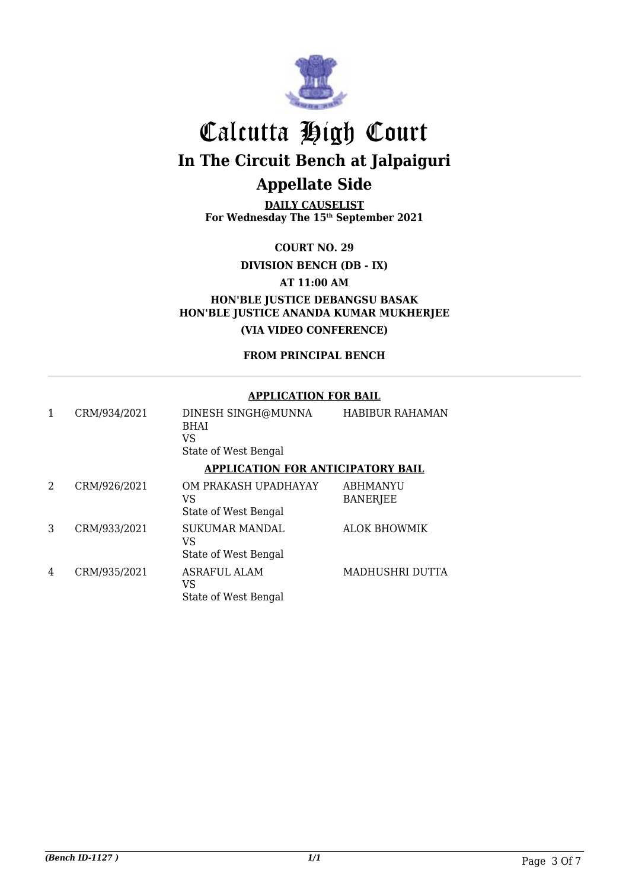

**DAILY CAUSELIST For Wednesday The 15th September 2021**

**COURT NO. 29**

**DIVISION BENCH (DB - IX)**

**AT 11:00 AM**

**HON'BLE JUSTICE DEBANGSU BASAK HON'BLE JUSTICE ANANDA KUMAR MUKHERJEE (VIA VIDEO CONFERENCE)**

**FROM PRINCIPAL BENCH**

#### **APPLICATION FOR BAIL**

|   | CRM/934/2021 | DINESH SINGH@MUNNA<br><b>BHAI</b><br>VS<br>State of West Bengal | <b>HABIBUR RAHAMAN</b>             |
|---|--------------|-----------------------------------------------------------------|------------------------------------|
|   |              | <b>APPLICATION FOR ANTICIPATORY BAIL</b>                        |                                    |
| 2 | CRM/926/2021 | OM PRAKASH UPADHAYAY<br>VS<br>State of West Bengal              | <b>ABHMANYU</b><br><b>BANERJEE</b> |
| 3 | CRM/933/2021 | <b>SUKUMAR MANDAL</b><br>VS<br>State of West Bengal             | <b>ALOK BHOWMIK</b>                |
| 4 | CRM/935/2021 | <b>ASRAFUL ALAM</b><br>VS<br>State of West Bengal               | MADHUSHRI DUTTA                    |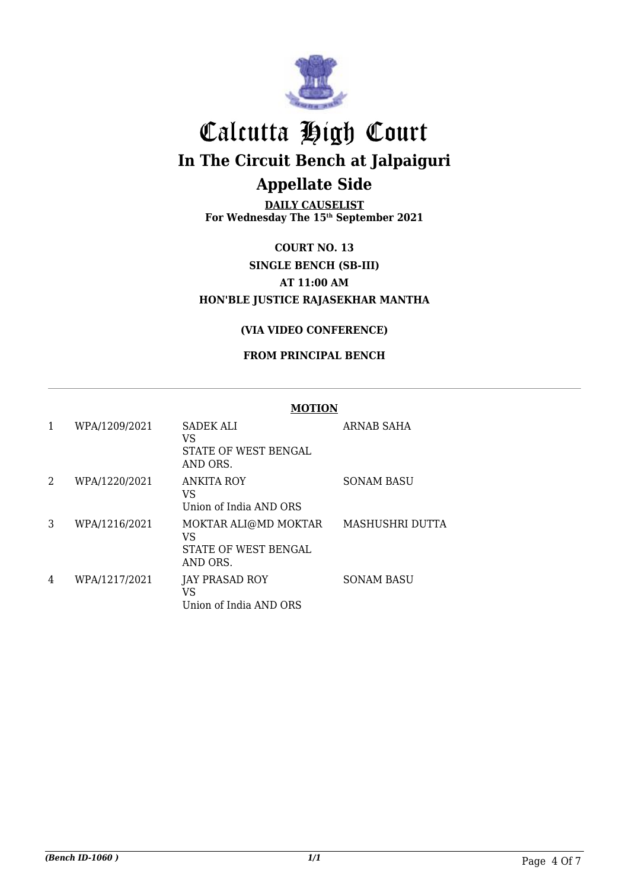

**DAILY CAUSELIST For Wednesday The 15th September 2021**

#### **COURT NO. 13 SINGLE BENCH (SB-III) AT 11:00 AM HON'BLE JUSTICE RAJASEKHAR MANTHA**

#### **(VIA VIDEO CONFERENCE)**

#### **FROM PRINCIPAL BENCH**

|   |               | <b>MOTION</b>                                                  |                        |  |
|---|---------------|----------------------------------------------------------------|------------------------|--|
|   | WPA/1209/2021 | SADEK ALI<br>VS<br>STATE OF WEST BENGAL<br>AND ORS.            | <b>ARNAB SAHA</b>      |  |
| 2 | WPA/1220/2021 | <b>ANKITA ROY</b><br>VS<br>Union of India AND ORS              | <b>SONAM BASU</b>      |  |
| 3 | WPA/1216/2021 | MOKTAR ALI@MD MOKTAR<br>VS<br>STATE OF WEST BENGAL<br>AND ORS. | <b>MASHUSHRI DUTTA</b> |  |
| 4 | WPA/1217/2021 | <b>JAY PRASAD ROY</b><br>VS<br>Union of India AND ORS          | <b>SONAM BASU</b>      |  |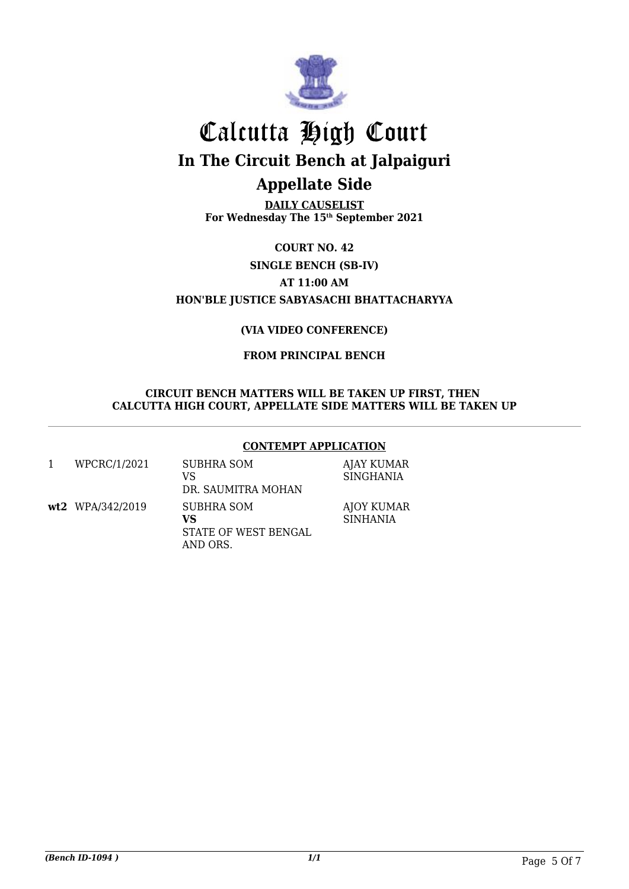

**DAILY CAUSELIST For Wednesday The 15th September 2021**

**COURT NO. 42 SINGLE BENCH (SB-IV) AT 11:00 AM HON'BLE JUSTICE SABYASACHI BHATTACHARYYA**

#### **(VIA VIDEO CONFERENCE)**

#### **FROM PRINCIPAL BENCH**

#### **CIRCUIT BENCH MATTERS WILL BE TAKEN UP FIRST, THEN CALCUTTA HIGH COURT, APPELLATE SIDE MATTERS WILL BE TAKEN UP**

#### **CONTEMPT APPLICATION**

| WPCRC/1/2021       | SUBHRA SOM<br>VS<br>DR. SAUMITRA MOHAN               | AJAY KUMAR<br><b>SINGHANIA</b>       |
|--------------------|------------------------------------------------------|--------------------------------------|
| $wt2$ WPA/342/2019 | SUBHRA SOM<br>VS<br>STATE OF WEST BENGAL<br>AND ORS. | <b>AJOY KUMAR</b><br><b>SINHANIA</b> |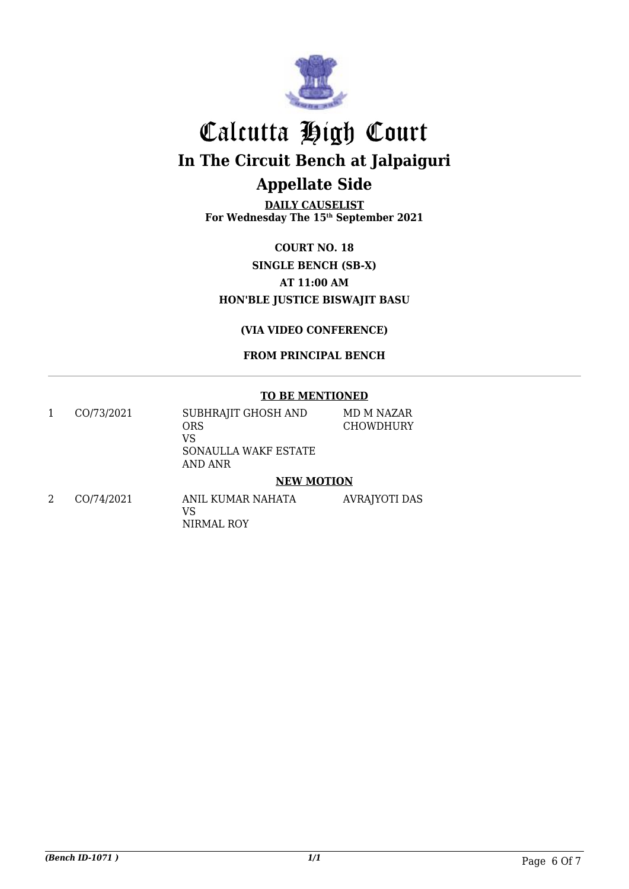

**DAILY CAUSELIST For Wednesday The 15th September 2021**

**COURT NO. 18 SINGLE BENCH (SB-X) AT 11:00 AM HON'BLE JUSTICE BISWAJIT BASU**

**(VIA VIDEO CONFERENCE)**

**FROM PRINCIPAL BENCH**

#### **TO BE MENTIONED**

1 CO/73/2021 SUBHRAJIT GHOSH AND ORS VS SONAULLA WAKF ESTATE AND ANR MD M NAZAR CHOWDHURY

#### **NEW MOTION**

2 CO/74/2021 ANIL KUMAR NAHATA VS NIRMAL ROY AVRAJYOTI DAS